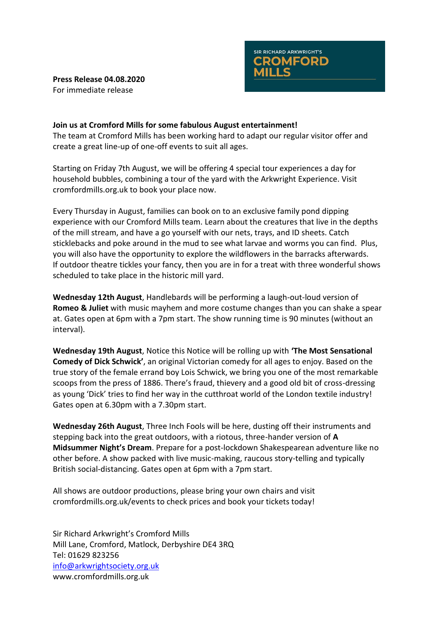



**Join us at Cromford Mills for some fabulous August entertainment!** The team at Cromford Mills has been working hard to adapt our regular visitor offer and create a great line-up of one-off events to suit all ages.

Starting on Friday 7th August, we will be offering 4 special tour experiences a day for household bubbles, combining a tour of the yard with the Arkwright Experience. Visit cromfordmills.org.uk to book your place now.

Every Thursday in August, families can book on to an exclusive family pond dipping experience with our Cromford Mills team. Learn about the creatures that live in the depths of the mill stream, and have a go yourself with our nets, trays, and ID sheets. Catch sticklebacks and poke around in the mud to see what larvae and worms you can find. Plus, you will also have the opportunity to explore the wildflowers in the barracks afterwards. If outdoor theatre tickles your fancy, then you are in for a treat with three wonderful shows scheduled to take place in the historic mill yard.

**Wednesday 12th August**, Handlebards will be performing a laugh-out-loud version of **Romeo & Juliet** with music mayhem and more costume changes than you can shake a spear at. Gates open at 6pm with a 7pm start. The show running time is 90 minutes (without an interval).

**Wednesday 19th August**, Notice this Notice will be rolling up with **'The Most Sensational Comedy of Dick Schwick'**, an original Victorian comedy for all ages to enjoy. Based on the true story of the female errand boy Lois Schwick, we bring you one of the most remarkable scoops from the press of 1886. There's fraud, thievery and a good old bit of cross-dressing as young 'Dick' tries to find her way in the cutthroat world of the London textile industry! Gates open at 6.30pm with a 7.30pm start.

**Wednesday 26th August**, Three Inch Fools will be here, dusting off their instruments and stepping back into the great outdoors, with a riotous, three-hander version of **A Midsummer Night's Dream**. Prepare for a post-lockdown Shakespearean adventure like no other before. A show packed with live music-making, raucous story-telling and typically British social-distancing. Gates open at 6pm with a 7pm start.

All shows are outdoor productions, please bring your own chairs and visit cromfordmills.org.uk/events to check prices and book your tickets today!

Sir Richard Arkwright's Cromford Mills Mill Lane, Cromford, Matlock, Derbyshire DE4 3RQ Tel: 01629 823256 [info@arkwrightsociety.org.uk](mailto:info@arkwrightsociety.org.uk) www.cromfordmills.org.uk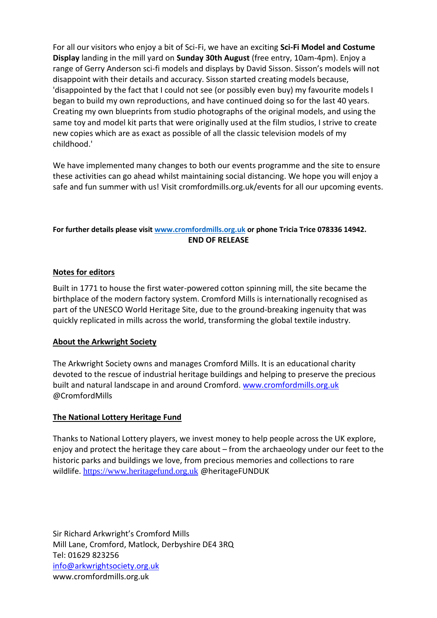For all our visitors who enjoy a bit of Sci-Fi, we have an exciting **Sci-Fi Model and Costume Display** landing in the mill yard on **Sunday 30th August** (free entry, 10am-4pm). Enjoy a range of Gerry Anderson sci-fi models and displays by David Sisson. Sisson's models will not disappoint with their details and accuracy. Sisson started creating models because, 'disappointed by the fact that I could not see (or possibly even buy) my favourite models I began to build my own reproductions, and have continued doing so for the last 40 years. Creating my own blueprints from studio photographs of the original models, and using the same toy and model kit parts that were originally used at the film studios, I strive to create new copies which are as exact as possible of all the classic television models of my childhood.'

We have implemented many changes to both our events programme and the site to ensure these activities can go ahead whilst maintaining social distancing. We hope you will enjoy a safe and fun summer with us! Visit cromfordmills.org.uk/events for all our upcoming events.

## **For further details please visi[t www.cromfordmills.org.uk](http://www.cromfordmills.org.uk/) or phone Tricia Trice 078336 14942. END OF RELEASE**

## **Notes for editors**

Built in 1771 to house the first water-powered cotton spinning mill, the site became the birthplace of the modern factory system. Cromford Mills is internationally recognised as part of the UNESCO World Heritage Site, due to the ground-breaking ingenuity that was quickly replicated in mills across the world, transforming the global textile industry.

## **About the Arkwright Society**

The Arkwright Society owns and manages Cromford Mills. It is an educational charity devoted to the rescue of industrial heritage buildings and helping to preserve the precious built and natural landscape in and around Cromford. [www.cromfordmills.org.uk](http://www.cromfordmills.org.uk/) @CromfordMills

## **The National Lottery Heritage Fund**

Thanks to National Lottery players, we invest money to help people across the UK explore, enjoy and protect the heritage they care about – from the archaeology under our feet to the historic parks and buildings we love, from precious memories and collections to rare wildlife. [https://www.heritagefund.org.uk](https://www.heritagefund.org.uk/) @heritageFUNDUK

Sir Richard Arkwright's Cromford Mills Mill Lane, Cromford, Matlock, Derbyshire DE4 3RQ Tel: 01629 823256 [info@arkwrightsociety.org.uk](mailto:info@arkwrightsociety.org.uk) www.cromfordmills.org.uk